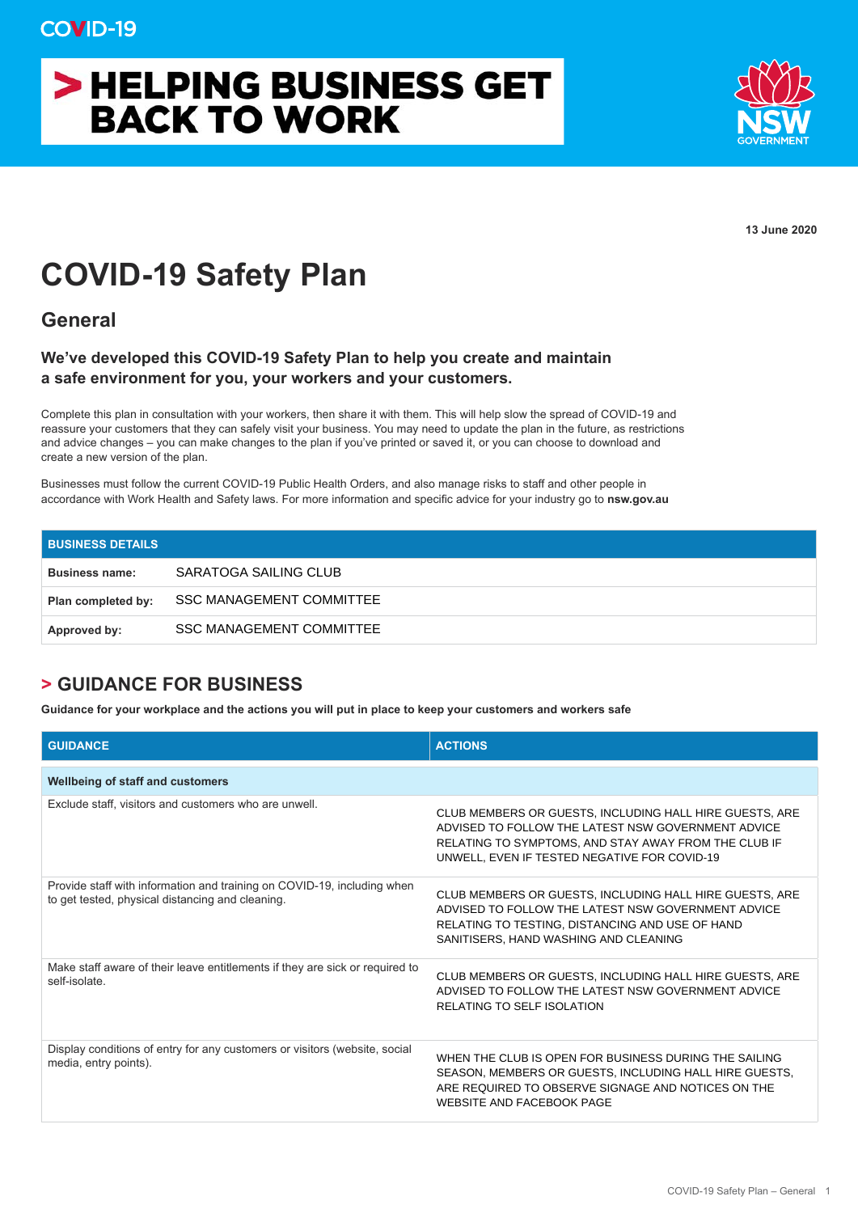## > HELPING BUSINESS GET **BACK TO WORK**



**13 June 2020**

## **COVID-19 Safety Plan**

**General**

## **We've developed this COVID-19 Safety Plan to help you create and maintain a safe environment for you, your workers and your customers.**

Complete this plan in consultation with your workers, then share it with them. This will help slow the spread of COVID-19 and reassure your customers that they can safely visit your business. You may need to update the plan in the future, as restrictions and advice changes – you can make changes to the plan if you've printed or saved it, or you can choose to download and create a new version of the plan.

Businesses must follow the current COVID-19 Public Health Orders, and also manage risks to staff and other people in accordance with Work Health and Safety laws. For more information and specific advice for your industry go to **nsw.gov.au**

| <b>BUSINESS DETAILS</b> |                                 |
|-------------------------|---------------------------------|
| <b>Business name:</b>   | SARATOGA SAILING CLUB           |
| Plan completed by:      | SSC MANAGEMENT COMMITTEE        |
| Approved by:            | <b>SSC MANAGEMENT COMMITTEE</b> |

## **> GUIDANCE FOR BUSINESS**

**Guidance for your workplace and the actions you will put in place to keep your customers and workers safe** 

| <b>GUIDANCE</b>                                                                                                             | <b>ACTIONS</b>                                                                                                                                                                                                        |
|-----------------------------------------------------------------------------------------------------------------------------|-----------------------------------------------------------------------------------------------------------------------------------------------------------------------------------------------------------------------|
| <b>Wellbeing of staff and customers</b>                                                                                     |                                                                                                                                                                                                                       |
| Exclude staff, visitors and customers who are unwell.                                                                       | CLUB MEMBERS OR GUESTS, INCLUDING HALL HIRE GUESTS, ARE<br>ADVISED TO FOLLOW THE LATEST NSW GOVERNMENT ADVICE<br>RELATING TO SYMPTOMS, AND STAY AWAY FROM THE CLUB IF<br>UNWELL, EVEN IF TESTED NEGATIVE FOR COVID-19 |
| Provide staff with information and training on COVID-19, including when<br>to get tested, physical distancing and cleaning. | CLUB MEMBERS OR GUESTS, INCLUDING HALL HIRE GUESTS, ARE<br>ADVISED TO FOLLOW THE LATEST NSW GOVERNMENT ADVICE<br>RELATING TO TESTING, DISTANCING AND USE OF HAND<br>SANITISERS, HAND WASHING AND CLEANING             |
| Make staff aware of their leave entitlements if they are sick or required to<br>self-isolate                                | CLUB MEMBERS OR GUESTS, INCLUDING HALL HIRE GUESTS, ARE<br>ADVISED TO FOLLOW THE LATEST NSW GOVERNMENT ADVICE<br><b>RELATING TO SELF ISOLATION</b>                                                                    |
| Display conditions of entry for any customers or visitors (website, social<br>media, entry points).                         | WHEN THE CLUB IS OPEN FOR BUSINESS DURING THE SAILING<br>SEASON, MEMBERS OR GUESTS, INCLUDING HALL HIRE GUESTS,<br>ARE REQUIRED TO OBSERVE SIGNAGE AND NOTICES ON THE<br><b>WEBSITE AND FACEBOOK PAGE</b>             |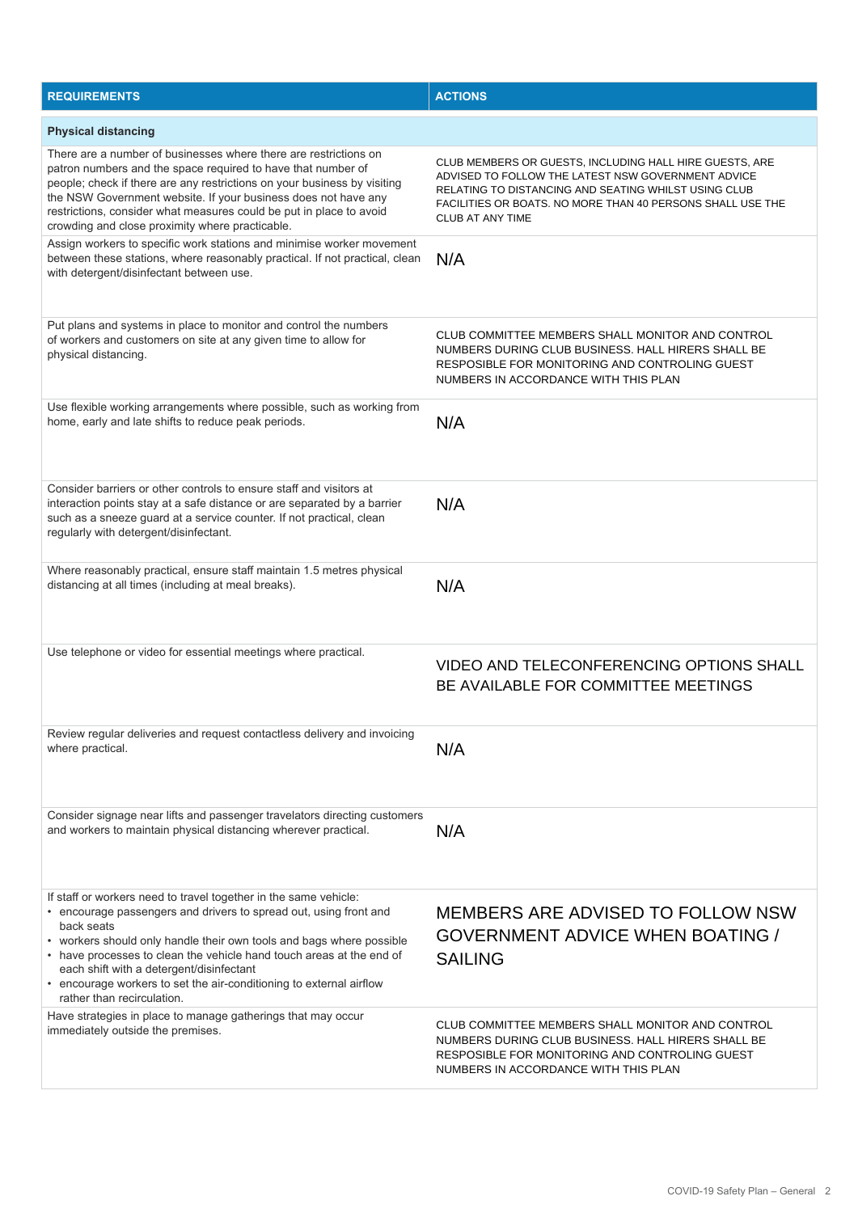| <b>REQUIREMENTS</b>                                                                                                                                                                                                                                                                                                                                                                                                                                  | <b>ACTIONS</b>                                                                                                                                                                                                                                                 |
|------------------------------------------------------------------------------------------------------------------------------------------------------------------------------------------------------------------------------------------------------------------------------------------------------------------------------------------------------------------------------------------------------------------------------------------------------|----------------------------------------------------------------------------------------------------------------------------------------------------------------------------------------------------------------------------------------------------------------|
| <b>Physical distancing</b>                                                                                                                                                                                                                                                                                                                                                                                                                           |                                                                                                                                                                                                                                                                |
| There are a number of businesses where there are restrictions on<br>patron numbers and the space required to have that number of<br>people; check if there are any restrictions on your business by visiting<br>the NSW Government website. If your business does not have any<br>restrictions, consider what measures could be put in place to avoid<br>crowding and close proximity where practicable.                                             | CLUB MEMBERS OR GUESTS, INCLUDING HALL HIRE GUESTS, ARE<br>ADVISED TO FOLLOW THE LATEST NSW GOVERNMENT ADVICE<br>RELATING TO DISTANCING AND SEATING WHILST USING CLUB<br>FACILITIES OR BOATS. NO MORE THAN 40 PERSONS SHALL USE THE<br><b>CLUB AT ANY TIME</b> |
| Assign workers to specific work stations and minimise worker movement<br>between these stations, where reasonably practical. If not practical, clean<br>with detergent/disinfectant between use.                                                                                                                                                                                                                                                     | N/A                                                                                                                                                                                                                                                            |
| Put plans and systems in place to monitor and control the numbers<br>of workers and customers on site at any given time to allow for<br>physical distancing.                                                                                                                                                                                                                                                                                         | CLUB COMMITTEE MEMBERS SHALL MONITOR AND CONTROL<br>NUMBERS DURING CLUB BUSINESS. HALL HIRERS SHALL BE<br>RESPOSIBLE FOR MONITORING AND CONTROLING GUEST<br>NUMBERS IN ACCORDANCE WITH THIS PLAN                                                               |
| Use flexible working arrangements where possible, such as working from<br>home, early and late shifts to reduce peak periods.                                                                                                                                                                                                                                                                                                                        | N/A                                                                                                                                                                                                                                                            |
| Consider barriers or other controls to ensure staff and visitors at<br>interaction points stay at a safe distance or are separated by a barrier<br>such as a sneeze guard at a service counter. If not practical, clean<br>regularly with detergent/disinfectant.                                                                                                                                                                                    | N/A                                                                                                                                                                                                                                                            |
| Where reasonably practical, ensure staff maintain 1.5 metres physical<br>distancing at all times (including at meal breaks).                                                                                                                                                                                                                                                                                                                         | N/A                                                                                                                                                                                                                                                            |
| Use telephone or video for essential meetings where practical.                                                                                                                                                                                                                                                                                                                                                                                       | VIDEO AND TELECONFERENCING OPTIONS SHALL<br>BE AVAILABLE FOR COMMITTEE MEETINGS                                                                                                                                                                                |
| Review regular deliveries and request contactless delivery and invoicing<br>where practical.                                                                                                                                                                                                                                                                                                                                                         | N/A                                                                                                                                                                                                                                                            |
| Consider signage near lifts and passenger travelators directing customers<br>and workers to maintain physical distancing wherever practical.                                                                                                                                                                                                                                                                                                         | N/A                                                                                                                                                                                                                                                            |
| If staff or workers need to travel together in the same vehicle:<br>• encourage passengers and drivers to spread out, using front and<br>back seats<br>• workers should only handle their own tools and bags where possible<br>• have processes to clean the vehicle hand touch areas at the end of<br>each shift with a detergent/disinfectant<br>• encourage workers to set the air-conditioning to external airflow<br>rather than recirculation. | MEMBERS ARE ADVISED TO FOLLOW NSW<br><b>GOVERNMENT ADVICE WHEN BOATING /</b><br><b>SAILING</b>                                                                                                                                                                 |
| Have strategies in place to manage gatherings that may occur<br>immediately outside the premises.                                                                                                                                                                                                                                                                                                                                                    | CLUB COMMITTEE MEMBERS SHALL MONITOR AND CONTROL<br>NUMBERS DURING CLUB BUSINESS. HALL HIRERS SHALL BE<br>RESPOSIBLE FOR MONITORING AND CONTROLING GUEST<br>NUMBERS IN ACCORDANCE WITH THIS PLAN                                                               |